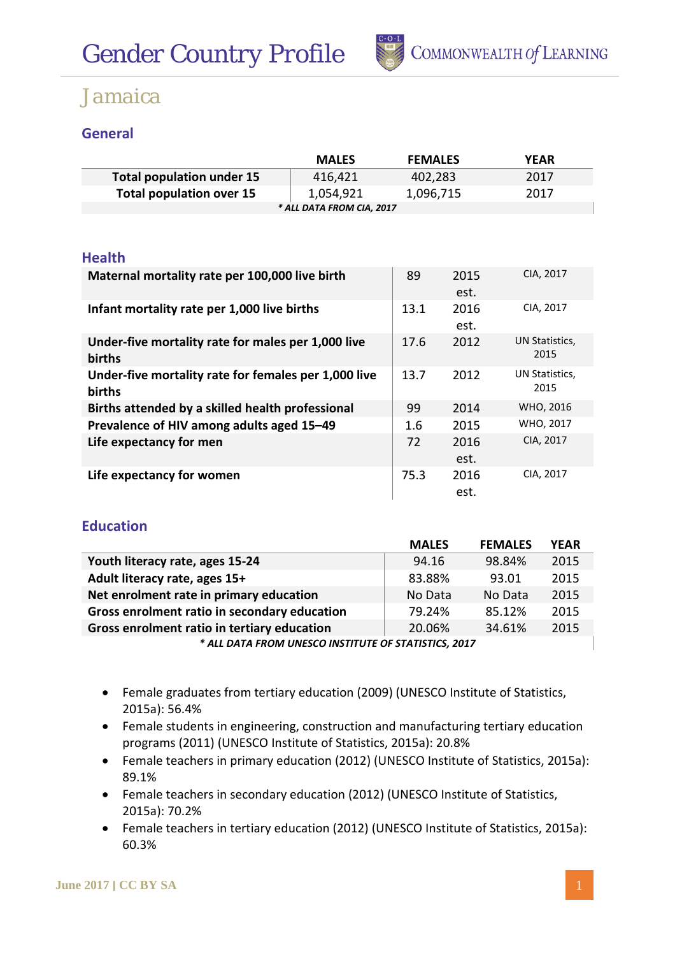

### **General**

|                                  | <b>MALES</b> | <b>FEMALES</b> | YEAR |  |
|----------------------------------|--------------|----------------|------|--|
| <b>Total population under 15</b> | 416.421      | 402,283        | 2017 |  |
| <b>Total population over 15</b>  | 1,054,921    | 1,096,715      | 2017 |  |
| * ALL DATA FROM CIA, 2017        |              |                |      |  |

#### **Health**

| Maternal mortality rate per 100,000 live birth                 | 89   | 2015<br>est. | CIA, 2017              |
|----------------------------------------------------------------|------|--------------|------------------------|
| Infant mortality rate per 1,000 live births                    | 13.1 | 2016<br>est. | CIA, 2017              |
| Under-five mortality rate for males per 1,000 live<br>births   | 17.6 | 2012         | UN Statistics,<br>2015 |
| Under-five mortality rate for females per 1,000 live<br>births | 13.7 | 2012         | UN Statistics,<br>2015 |
| Births attended by a skilled health professional               | 99   | 2014         | WHO, 2016              |
| Prevalence of HIV among adults aged 15-49                      | 1.6  | 2015         | WHO, 2017              |
| Life expectancy for men                                        | 72   | 2016<br>est. | CIA, 2017              |
| Life expectancy for women                                      | 75.3 | 2016<br>est. | CIA, 2017              |

### **Education**

|                                                      | <b>MALES</b> | <b>FEMALES</b> | <b>YEAR</b> |  |  |
|------------------------------------------------------|--------------|----------------|-------------|--|--|
| Youth literacy rate, ages 15-24                      | 94.16        | 98.84%         | 2015        |  |  |
| Adult literacy rate, ages 15+                        | 83.88%       | 93.01          | 2015        |  |  |
| Net enrolment rate in primary education              | No Data      | No Data        | 2015        |  |  |
| Gross enrolment ratio in secondary education         | 79.24%       | 85.12%         | 2015        |  |  |
| Gross enrolment ratio in tertiary education          | 20.06%       | 34.61%         | 2015        |  |  |
| * ALL DATA FROM UNESCO INSTITUTE OF STATISTICS, 2017 |              |                |             |  |  |

- Female graduates from tertiary education (2009) (UNESCO Institute of Statistics, 2015a): 56.4%
- Female students in engineering, construction and manufacturing tertiary education programs (2011) (UNESCO Institute of Statistics, 2015a): 20.8%
- Female teachers in primary education (2012) (UNESCO Institute of Statistics, 2015a): 89.1%
- Female teachers in secondary education (2012) (UNESCO Institute of Statistics, 2015a): 70.2%
- Female teachers in tertiary education (2012) (UNESCO Institute of Statistics, 2015a): 60.3%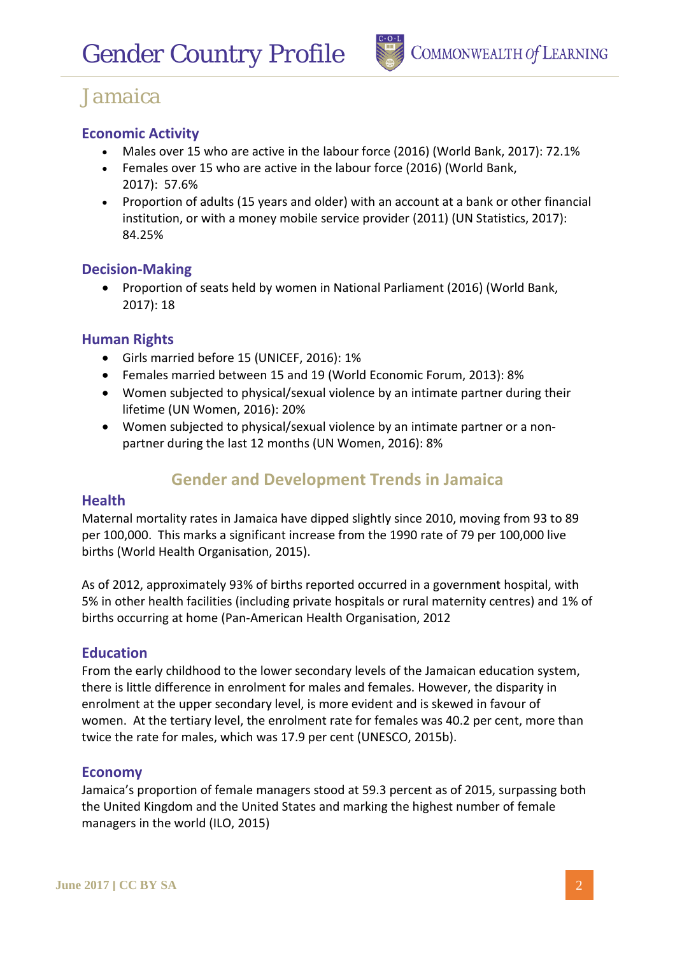

### **Economic Activity**

- Males over 15 who are active in the labour force (2016) (World Bank, 2017): 72.1%
- Females over 15 who are active in the labour force (2016) (World Bank, 2017): 57.6%
- Proportion of adults (15 years and older) with an account at a bank or other financial institution, or with a money mobile service provider (2011) (UN Statistics, 2017): 84.25%

#### **Decision-Making**

• Proportion of seats held by women in National Parliament (2016) (World Bank, 2017): 18

#### **Human Rights**

- Girls married before 15 (UNICEF, 2016): 1%
- Females married between 15 and 19 (World Economic Forum, 2013): 8%
- Women subjected to physical/sexual violence by an intimate partner during their lifetime (UN Women, 2016): 20%
- Women subjected to physical/sexual violence by an intimate partner or a nonpartner during the last 12 months (UN Women, 2016): 8%

## **Gender and Development Trends in Jamaica**

#### **Health**

Maternal mortality rates in Jamaica have dipped slightly since 2010, moving from 93 to 89 per 100,000. This marks a significant increase from the 1990 rate of 79 per 100,000 live births (World Health Organisation, 2015).

As of 2012, approximately 93% of births reported occurred in a government hospital, with 5% in other health facilities (including private hospitals or rural maternity centres) and 1% of births occurring at home (Pan-American Health Organisation, 2012

#### **Education**

From the early childhood to the lower secondary levels of the Jamaican education system, there is little difference in enrolment for males and females. However, the disparity in enrolment at the upper secondary level, is more evident and is skewed in favour of women. At the tertiary level, the enrolment rate for females was 40.2 per cent, more than twice the rate for males, which was 17.9 per cent (UNESCO, 2015b).

#### **Economy**

Jamaica's proportion of female managers stood at 59.3 percent as of 2015, surpassing both the United Kingdom and the United States and marking the highest number of female managers in the world (ILO, 2015)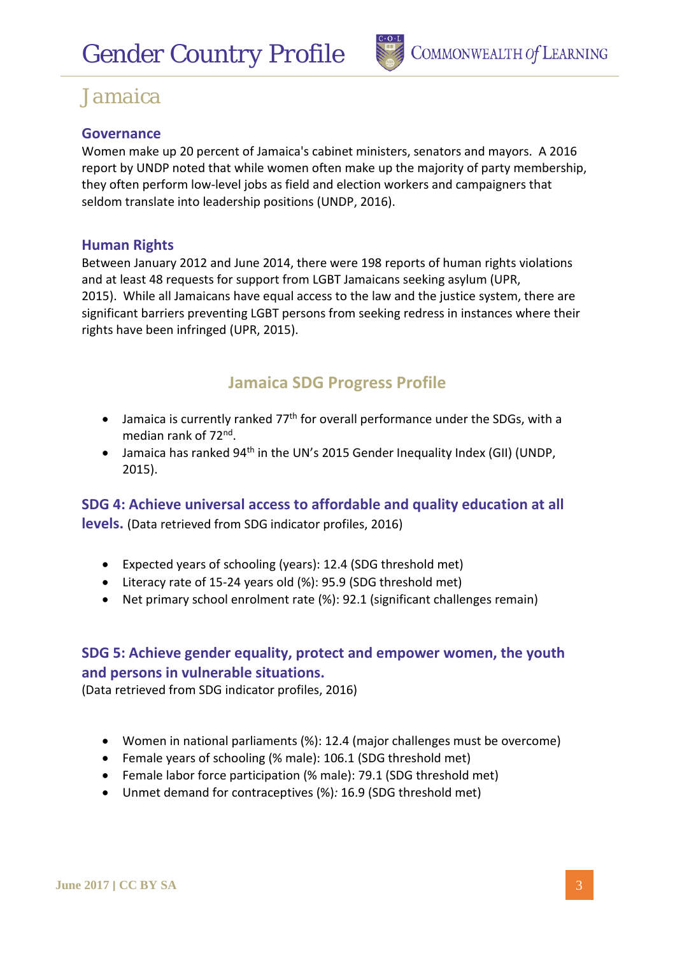

### **Governance**

Women make up 20 percent of Jamaica's cabinet ministers, senators and mayors. A 2016 report by UNDP noted that while women often make up the majority of party membership, they often perform low-level jobs as field and election workers and campaigners that seldom translate into leadership positions (UNDP, 2016).

#### **Human Rights**

Between January 2012 and June 2014, there were 198 reports of human rights violations and at least 48 requests for support from LGBT Jamaicans seeking asylum (UPR, 2015). While all Jamaicans have equal access to the law and the justice system, there are significant barriers preventing LGBT persons from seeking redress in instances where their rights have been infringed (UPR, 2015).

## **Jamaica SDG Progress Profile**

- Jamaica is currently ranked  $77<sup>th</sup>$  for overall performance under the SDGs, with a median rank of 72nd.
- Jamaica has ranked 94<sup>th</sup> in the UN's 2015 Gender Inequality Index (GII) (UNDP, 2015).

**SDG 4: Achieve universal access to affordable and quality education at all levels.** (Data retrieved from SDG indicator profiles, 2016)

- Expected years of schooling (years): 12.4 (SDG threshold met)
- Literacy rate of 15-24 years old (%): 95.9 (SDG threshold met)
- Net primary school enrolment rate (%): 92.1 (significant challenges remain)

### **SDG 5: Achieve gender equality, protect and empower women, the youth and persons in vulnerable situations.**

(Data retrieved from SDG indicator profiles, 2016)

- Women in national parliaments (%): 12.4 (major challenges must be overcome)
- Female years of schooling (% male): 106.1 (SDG threshold met)
- Female labor force participation (% male): 79.1 (SDG threshold met)
- Unmet demand for contraceptives (%)*:* 16.9 (SDG threshold met)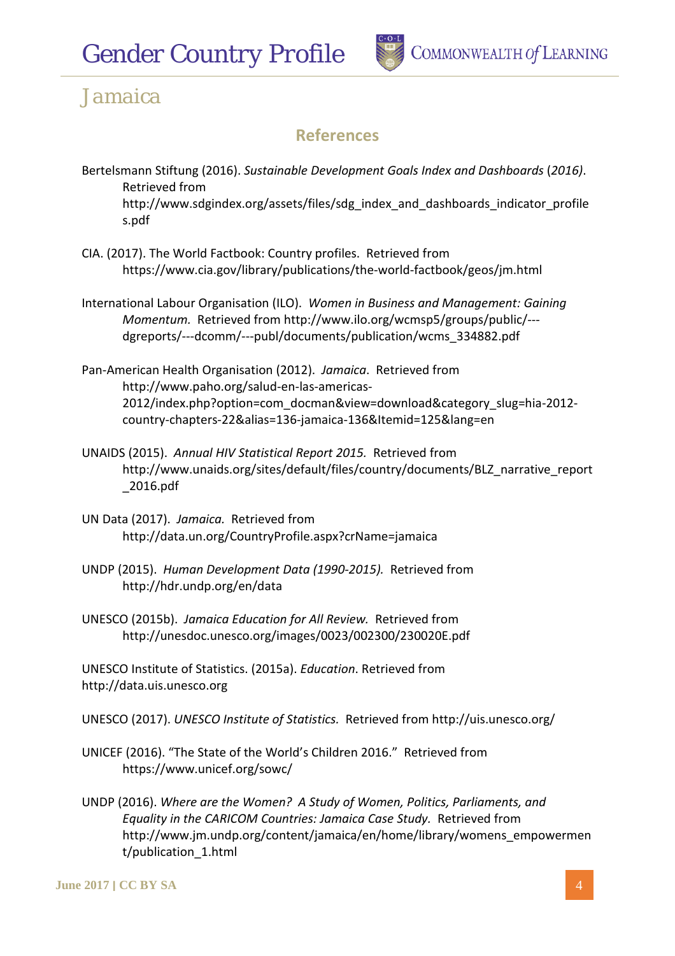

## **References**

- Bertelsmann Stiftung (2016). *Sustainable Development Goals Index and Dashboards* (*2016)*. Retrieved from http://www.sdgindex.org/assets/files/sdg\_index\_and\_dashboards\_indicator\_profile s.pdf
- CIA. (2017). The World Factbook: Country profiles. Retrieved from https://www.cia.gov/library/publications/the-world-factbook/geos/jm.html
- International Labour Organisation (ILO). *Women in Business and Management: Gaining Momentum.* Retrieved from http://www.ilo.org/wcmsp5/groups/public/-- dgreports/---dcomm/---publ/documents/publication/wcms\_334882.pdf
- Pan-American Health Organisation (2012). *Jamaica*. Retrieved from http://www.paho.org/salud-en-las-americas-2012/index.php?option=com\_docman&view=download&category\_slug=hia-2012 country-chapters-22&alias=136-jamaica-136&Itemid=125&lang=en
- UNAIDS (2015). *Annual HIV Statistical Report 2015.* Retrieved from http://www.unaids.org/sites/default/files/country/documents/BLZ\_narrative\_report \_2016.pdf
- UN Data (2017). *Jamaica.* Retrieved from http://data.un.org/CountryProfile.aspx?crName=jamaica
- UNDP (2015). *Human Development Data (1990-2015).* Retrieved from http://hdr.undp.org/en/data
- UNESCO (2015b). *Jamaica Education for All Review.* Retrieved from http://unesdoc.unesco.org/images/0023/002300/230020E.pdf

UNESCO Institute of Statistics. (2015a). *Education*. Retrieved from http://data.uis.unesco.org

UNESCO (2017). *UNESCO Institute of Statistics.* Retrieved from http://uis.unesco.org/

- UNICEF (2016). "The State of the World's Children 2016." Retrieved from https://www.unicef.org/sowc/
- UNDP (2016). *Where are the Women? A Study of Women, Politics, Parliaments, and Equality in the CARICOM Countries: Jamaica Case Study.* Retrieved from http://www.jm.undp.org/content/jamaica/en/home/library/womens\_empowermen t/publication\_1.html